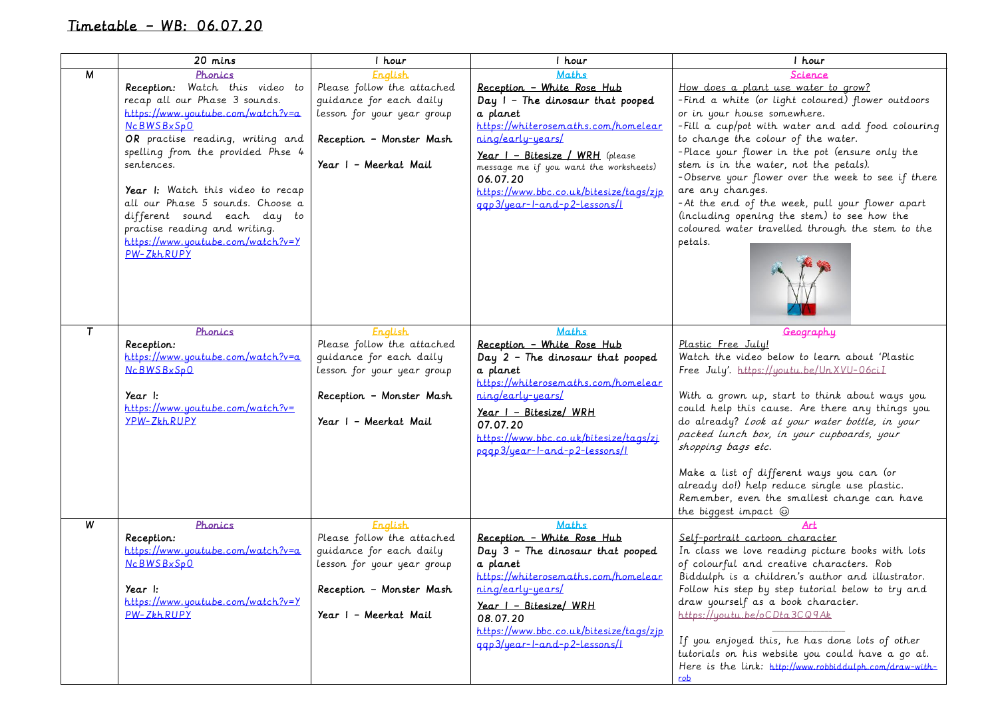## Timetable – WB: 06.07.20

|   | 20 mins                                                                                                                                                                                                                                                                                                                                                                                                                 | 1 hour                                                                                                                                                     | 1 hour                                                                                                                                                                                                                                                                                                                     | 1 hour                                                                                                                                                                                                                                                                                                                                                                                                                                                                                                                                                                |
|---|-------------------------------------------------------------------------------------------------------------------------------------------------------------------------------------------------------------------------------------------------------------------------------------------------------------------------------------------------------------------------------------------------------------------------|------------------------------------------------------------------------------------------------------------------------------------------------------------|----------------------------------------------------------------------------------------------------------------------------------------------------------------------------------------------------------------------------------------------------------------------------------------------------------------------------|-----------------------------------------------------------------------------------------------------------------------------------------------------------------------------------------------------------------------------------------------------------------------------------------------------------------------------------------------------------------------------------------------------------------------------------------------------------------------------------------------------------------------------------------------------------------------|
| M | Phonics<br>Reception: Watch this video to<br>recap all our Phase 3 sounds.<br>https://www.youtube.com/watch?v=a<br><b>NcBWSBxSpO</b><br>OR practise reading, writing and<br>spelling from the provided Phse 4<br>sentences.<br>Year I: Watch this video to recap<br>all our Phase 5 sounds. Choose a<br>different sound each day to<br>practise reading and writing.<br>https://www.youtube.com/watch?v=Y<br>PW-ZŁLRUPY | <b>English</b><br>Please follow the attached<br>guidance for each daily<br>lesson for your year group<br>Reception - Monster Mash<br>Year I - Meerkat Mail | <b>Maths</b><br>Reception - White Rose Hub<br>Day I - The dinosaur that pooped<br>a planet<br>https://whiterosemaths.com/homelear<br>ning/early-years/<br>Year I - Bitesize / WRH (please<br>message me if you want the worksheets)<br>06.07.20<br>https://www.bbc.co.uk/bitesize/tags/zip<br>ggp3/year-l-and-p2-lessons/l | Science<br>How does a plant use water to grow?<br>-Find a white (or light coloured) flower outdoors<br>or in your house somewhere.<br>- Fill a cup/pot with water and add food colouring<br>to change the colour of the water.<br>-Place your flower in the pot (ensure only the<br>stem is in the water, not the petals).<br>-Observe your flower over the week to see if there<br>are any changes.<br>-At the end of the week, pull your flower apart<br>(including opening the stem) to see how the<br>coloured water travelled through the stem to the<br>petals. |
| T | Phonics<br>Reception:<br>https://www.youtube.com/watch?v=a<br>NCBWSBxSpQ<br>Year I:<br>https://www.youtube.com/watch?v=<br>YPW-ZkhRUPY                                                                                                                                                                                                                                                                                  | English<br>Please follow the attached<br>guidance for each daily<br>lesson for your year group<br>Reception - Monster Mash<br>Year I - Meerkat Mail        | <b>Maths</b><br>Reception - White Rose Hub<br>Day 2 - The dinosaur that pooped<br>a planet<br>https://whiterosemaths.com/homelear<br><u>ning/early-years/</u><br>Year I - Bitesize/ WRH<br>07.07.20<br>https://www.bbc.co.uk/bitesize/tags/zj<br>pagp3/year-l-and-p2-lessons/l                                             | <u>Geography</u><br>Plastic Free July!<br>Watch the video below to learn about 'Plastic<br>Free July'. https://youtu.be/UnXVU-06ciI<br>With a grown up, start to think about ways you<br>could help this cause. Are there any things you<br>do already? Look at your water bottle, in your<br>packed lunch box, in your cupboards, your<br>shopping bags etc.<br>Make a list of different ways you can (or<br>already do!) help reduce single use plastic.<br>Remember, even the smallest change can have<br>the biggest impact $\circledcirc$                        |
| W | Phonics<br>Reception:<br>https://www.youtube.com/watch?v=a<br><b>NcBWSBxSpO</b><br>Year I:<br>$https://www.uoutube.com/watch?v=Y$<br>PW-ZkhRUPY                                                                                                                                                                                                                                                                         | <b>English</b><br>Please follow the attached<br>quidance for each daily<br>lesson for your year group<br>Reception - Monster Mash<br>Year I - Meerkat Mail | <b>Maths</b><br>Reception - White Rose Hub<br>Day $3$ - The dinosaur that pooped<br>a planet<br>https://whiterosemaths.com/homelear<br>ning/early-years/<br>Year I - Bitesize/ WRH<br>08.07.20<br>https://www.bbc.co.uk/bitesize/tags/zip<br>agp3/year-l-and-p2-lessons/l                                                  | Art<br>Self-portrait cartoon character<br>In class we love reading picture books with lots<br>of colourful and creative characters. Rob<br>Biddulph is a children's author and illustrator.<br>Follow his step by step tutorial below to try and<br>draw yourself as a book character.<br>https://youtu.be/oCDta3CQ9Ak<br>If you enjoyed this, he has done lots of other<br>tutorials on his website you could have a go at.<br>Here is the link: http://www.robbiddulph.com/draw-with-<br><u>rob</u>                                                                 |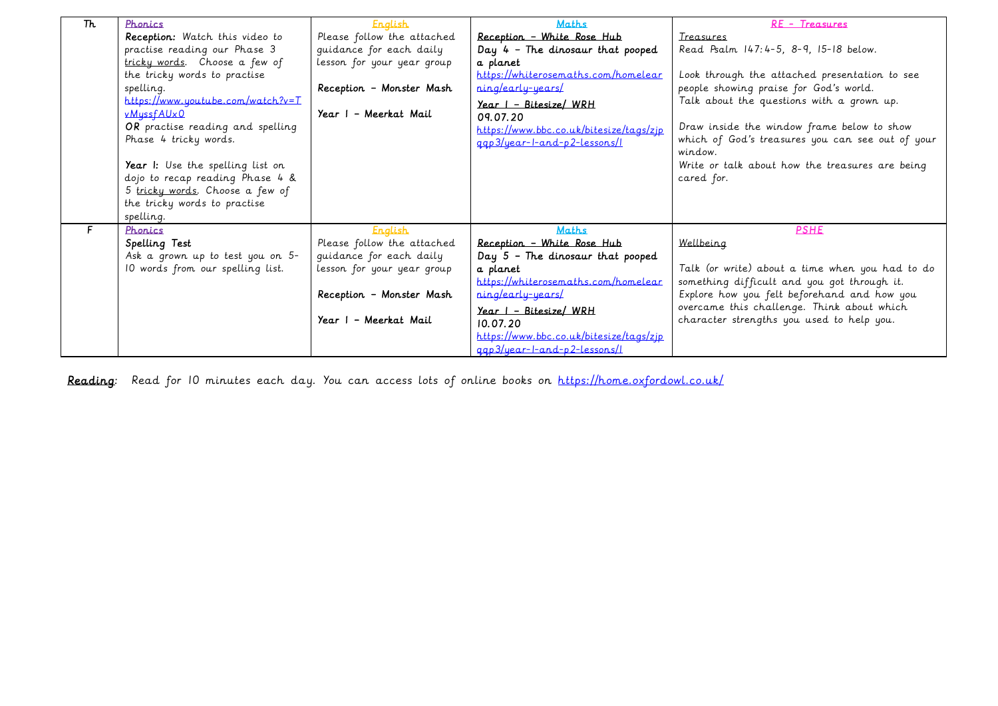| Th. | Phonics                           | <b>English</b>             | <b>Maths</b>                            | RE - Treasures                                   |
|-----|-----------------------------------|----------------------------|-----------------------------------------|--------------------------------------------------|
|     | Reception: Watch this video to    | Please follow the attached | Reception - White Rose Hub              | <b>Treasures</b>                                 |
|     | practise reading our Phase 3      | guidance for each daily    | Day $4$ - The dinosaur that pooped      | Read Psalm 147: 4-5, 8-9, 15-18 below.           |
|     | tricky words. Choose a few of     | lesson for your year group | a planet                                |                                                  |
|     | the tricky words to practise      |                            | https://whiterosemaths.com/homelear     | Look through the attached presentation to see    |
|     | spelling.                         | Reception - Monster Mash   | ning/early-years/                       | people showing praise for God's world.           |
|     | https://www.youtube.com/watch?v=T |                            | <u>Year I - Bitesize/ WRH</u>           | Talk about the questions with a grown up.        |
|     | vMussfAUx0                        | Year I - Meerkat Mail      | 09.07.20                                |                                                  |
|     | OR practise reading and spelling  |                            | https://www.bbc.co.uk/bitesize/tags/zjp | Draw inside the window frame below to show       |
|     | Phase 4 tricky words.             |                            | ggp3/year-l-and-p2-lessons/l            | which of God's treasures you can see out of your |
|     |                                   |                            |                                         | window.                                          |
|     | Year I: Use the spelling list on  |                            |                                         | Write or talk about how the treasures are being  |
|     | dojo to recap reading Phase 4 &   |                            |                                         | cared for.                                       |
|     | 5 tricky words. Choose a few of   |                            |                                         |                                                  |
|     | the tricky words to practise      |                            |                                         |                                                  |
|     | spelling.                         |                            |                                         |                                                  |
|     | Phonics                           | <b>English</b>             | Maths                                   | <b>PSHE</b>                                      |
|     | Spelling Test                     | Please follow the attached | Reception - White Rose Hub              | Wellbeing                                        |
|     | Ask a grown up to test you on 5-  | quidance for each daily    | Day $5$ - The dinosaur that pooped      |                                                  |
|     | 10 words from our spelling list.  | lesson for your year group | a planet                                | Talk (or write) about a time when you had to do  |
|     |                                   |                            | https://whiterosemaths.com/homelear     | something difficult and you got through it.      |
|     |                                   | Reception - Monster Mash   | ning/early-years/                       | Explore how you felt beforehand and how you      |
|     |                                   |                            | $Year$   - Bitesize/ WRH                | overcame this challenge. Think about which       |
|     |                                   | Year I - Meerkat Mail      | 10.07.20                                | character strengths you used to help you.        |
|     |                                   |                            | https://www.bbc.co.uk/bitesize/tags/zjp |                                                  |
|     |                                   |                            | ggp3/year-l-and-p2-lessons/l            |                                                  |

Reading: Read for 10 minutes each day. You can access lots of online books on <https://home.oxfordowl.co.uk/>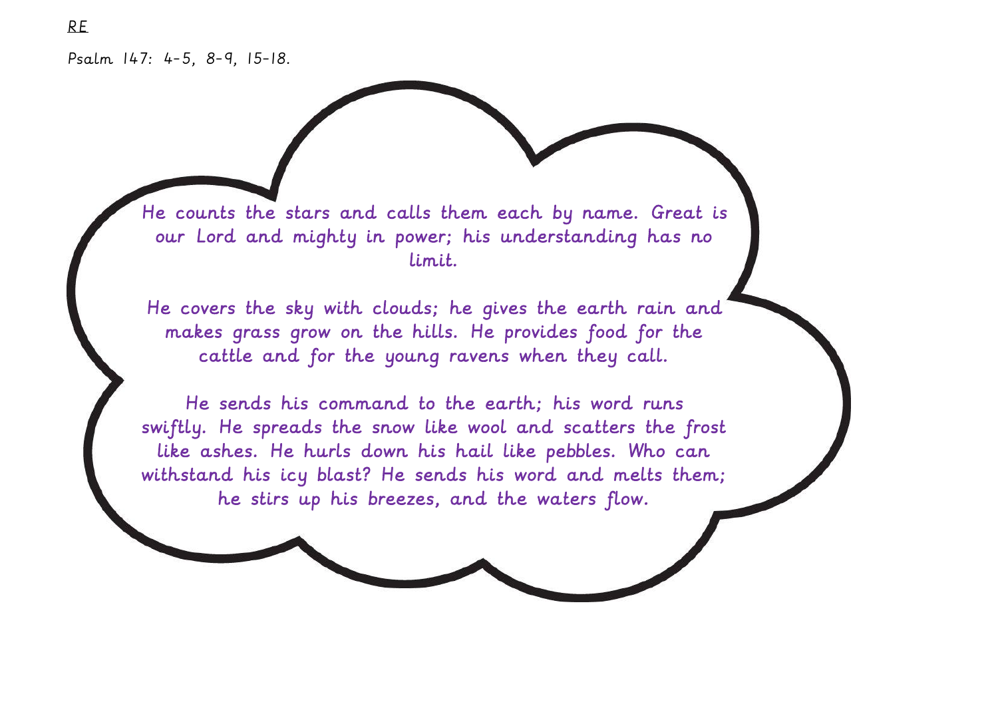RE

He counts the stars and calls them each by name. Great is our Lord and mighty in power; his understanding has no limit.

He covers the sky with clouds; he gives the earth rain and makes grass grow on the hills. He provides food for the cattle and for the young ravens when they call.

He sends his command to the earth; his word runs swiftly. He spreads the snow like wool and scatters the frost like ashes. He hurls down his hail like pebbles. Who can withstand his icy blast? He sends his word and melts them; he stirs up his breezes, and the waters flow.